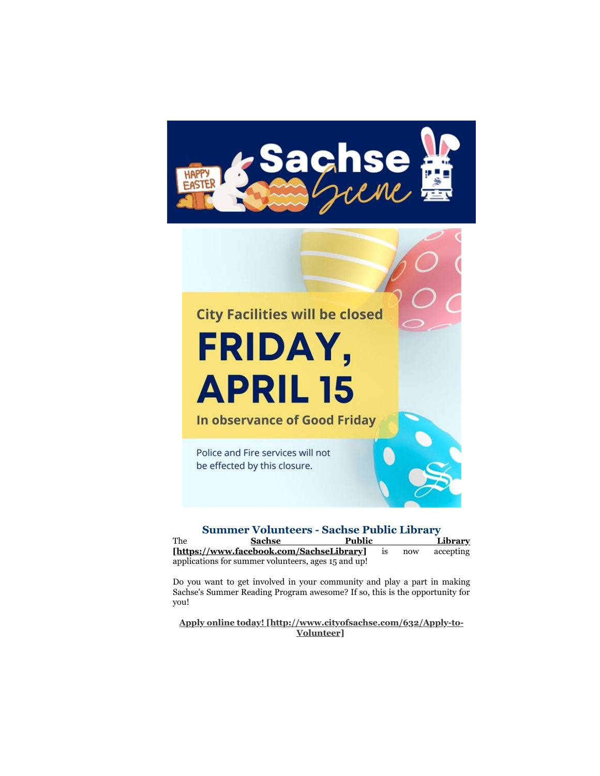



| <b>Summer Volunteers - Sachse Public Library</b> |                                                     |               |    |     |           |
|--------------------------------------------------|-----------------------------------------------------|---------------|----|-----|-----------|
| The                                              | <b>Sachse</b>                                       | <b>Public</b> |    |     | Library   |
|                                                  | [https://www.facebook.com/SachseLibrary]            |               | 1S | now | accepting |
|                                                  | applications for summer volunteers, ages 15 and up! |               |    |     |           |

Do you want to get involved in your community and play a part in making Sachse's Summer Reading Program awesome? If so, this is the opportunity for you!

**[Apply online today! \[http://www.cityofsachse.com/632/Apply-to-](http://www.cityofsachse.com/632/Apply-to-Volunteer)Volunteer]**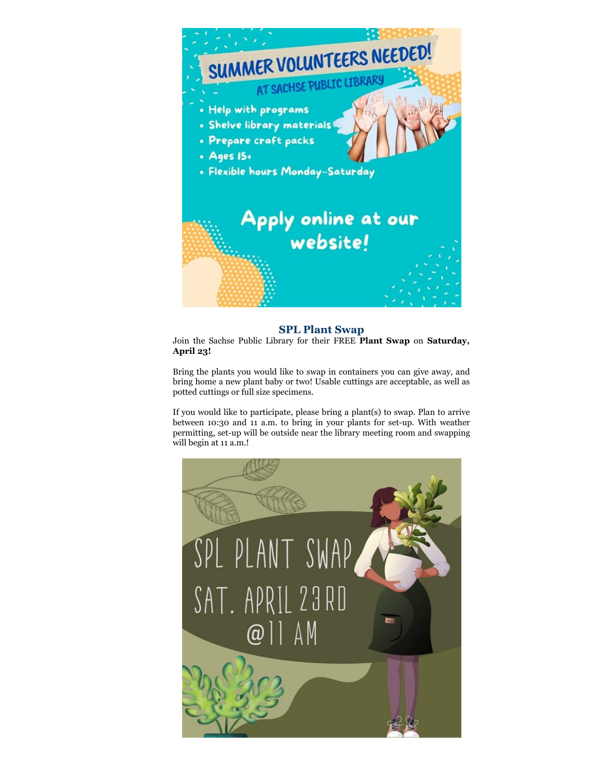

## **SPL Plant Swap**

Join the Sachse Public Library for their FREE **Plant Swap** on **Saturday, April 23!**

Bring the plants you would like to swap in containers you can give away, and bring home a new plant baby or two! Usable cuttings are acceptable, as well as potted cuttings or full size specimens.

If you would like to participate, please bring a plant(s) to swap. Plan to arrive between 10:30 and 11 a.m. to bring in your plants for set-up. With weather permitting, set-up will be outside near the library meeting room and swapping will begin at 11 a.m.!

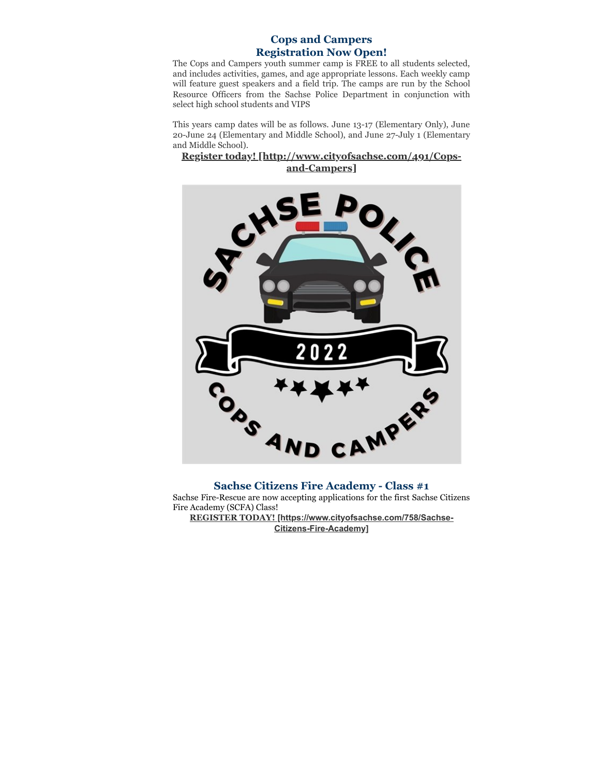## **Cops and Campers Registration Now Open!**

The Cops and Campers youth summer camp is FREE to all students selected, and includes activities, games, and age appropriate lessons. Each weekly camp will feature guest speakers and a field trip. The camps are run by the School Resource Officers from the Sachse Police Department in conjunction with select high school students and VIPS

This years camp dates will be as follows. June 13-17 (Elementary Only), June 20-June 24 (Elementary and Middle School), and June 27-July 1 (Elementary and Middle School).

## **[Register today! \[http://www.cityofsachse.com/491/Cops](http://www.cityofsachse.com/491/Cops-and-Campers)and-Campers]**



#### **Sachse Citizens Fire Academy - Class #1**

Sachse Fire-Rescue are now accepting applications for the first Sachse Citizens Fire Academy (SCFA) Class!

**REGISTER TODAY! [\[https://www.cityofsachse.com/758/Sachse-](https://www.cityofsachse.com/758/Sachse-Citizens-Fire-Academy)Citizens-Fire-Academy]**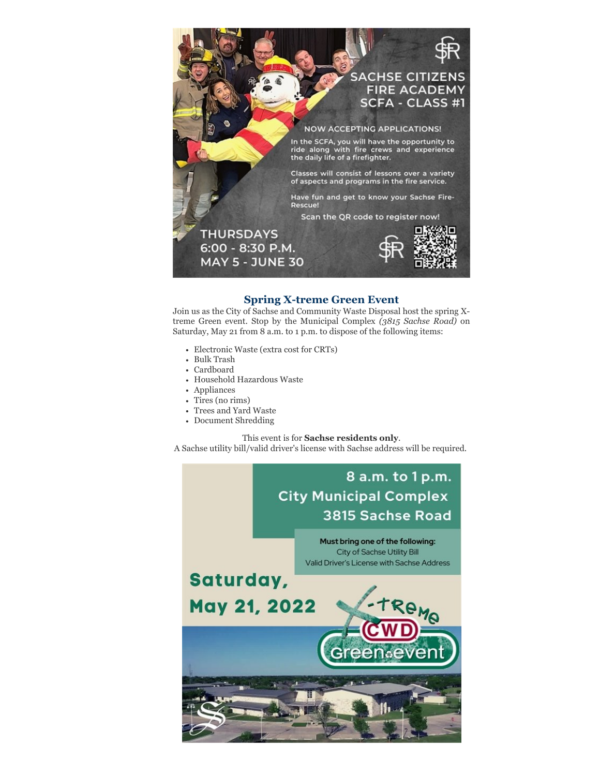

## **Spring X-treme Green Event**

Join us as the City of Sachse and Community Waste Disposal host the spring Xtreme Green event. Stop by the Municipal Complex *(3815 Sachse Road)* on Saturday, May 21 from 8 a.m. to 1 p.m. to dispose of the following items:

- Electronic Waste (extra cost for CRTs)
- Bulk Trash
- Cardboard
- Household Hazardous Waste
- Appliances
- Tires (no rims)
- Trees and Yard Waste
- Document Shredding

#### This event is for **Sachse residents only**.

A Sachse utility bill/valid driver's license with Sachse address will be required.

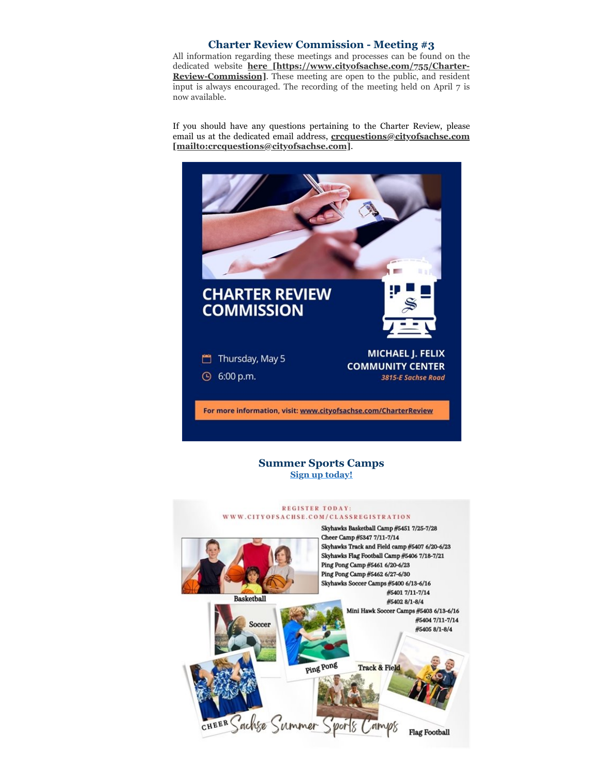## **Charter Review Commission - Meeting #3**

All information regarding these meetings and processes can be found on the dedicated website **here [\[https://www.cityofsachse.com/755/Charter-](https://www.cityofsachse.com/755/Charter-Review-Commission)Review-Commission]**. These meeting are open to the public, and resident input is always encouraged. The recording of the meeting held on April 7 is now available.

If you should have any questions pertaining to the Charter Review, please email us at the dedicated email address, **crcquestions@cityofsachse.com [\[mailto:crcquestions@cityofsachse.com\]](mailto:crcquestions@cityofsachse.com)**.



**Summer Sports Camps [Sign up today!](https://anc.apm.activecommunities.com/cityofsachse/home?onlineSiteId=0&from_original_cui=true)**

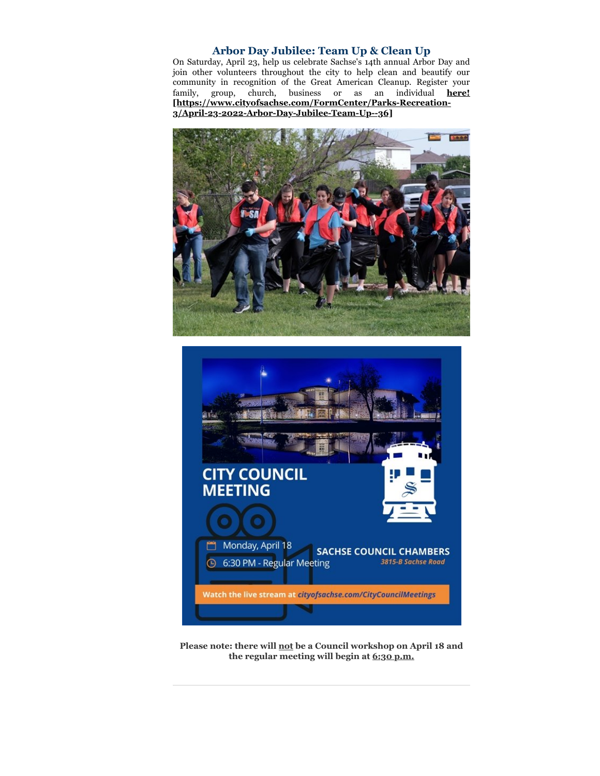## **Arbor Day Jubilee: Team Up & Clean Up**

On Saturday, April 23, help us celebrate Sachse's 14th annual Arbor Day and join other volunteers throughout the city to help clean and beautify our community in recognition of the Great American Cleanup. Register your family, group, church, business or as an individual **here! [\[https://www.cityofsachse.com/FormCenter/Parks-Recreation-](https://www.cityofsachse.com/FormCenter/Parks-Recreation-3/April-23-2022-Arbor-Day-Jubilee-Team-Up--36)3/April-23-2022-Arbor-Day-Jubilee-Team-Up--36]**





**Please note: there will not be a Council workshop on April 18 and the regular meeting will begin at 6:30 p.m.**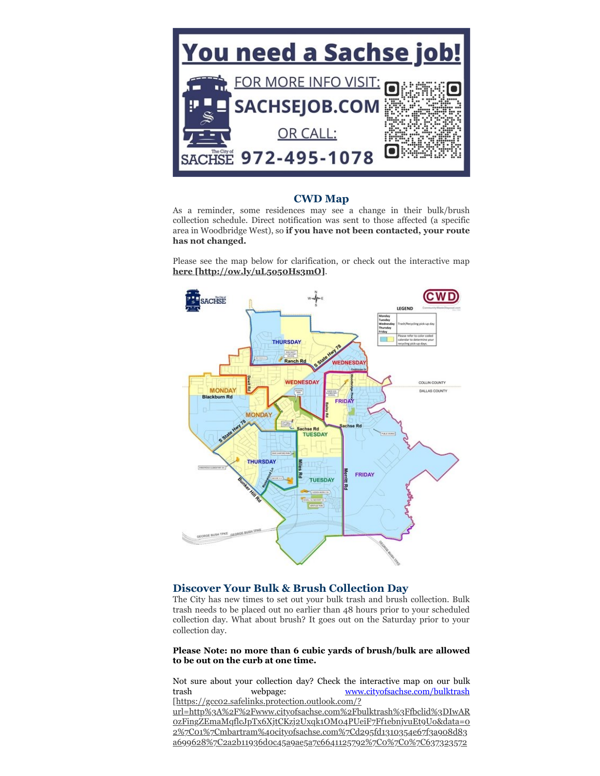

#### **CWD Map**

As a reminder, some residences may see a change in their bulk/brush collection schedule. Direct notification was sent to those affected (a specific area in Woodbridge West), so **if you have not been contacted, your route has not changed.**

Please see the map below for clarification, or check out the interactive map **[here \[http://ow.ly/uL5o50Hs3mO\]](http://ow.ly/uL5o50Hs3mO)**.



# **Discover Your Bulk & Brush Collection Day**

The City has new times to set out your bulk trash and brush collection. Bulk trash needs to be placed out no earlier than 48 hours prior to your scheduled collection day. What about brush? It goes out on the Saturday prior to your collection day.

#### **Please Note: no more than 6 cubic yards of brush/bulk are allowed to be out on the curb at one time.**

Not sure about your collection day? Check the interactive map on our bulk trash webpage: www.cityofsachse.com/bulktrash [https://gcc02.safelinks.protection.outlook.com/?

[url=http%3A%2F%2Fwww.cityofsachse.com%2Fbulktrash%3Ffbclid%3DIwAR](https://gcc02.safelinks.protection.outlook.com/?url=http%3A%2F%2Fwww.cityofsachse.com%2Fbulktrash%3Ffbclid%3DIwAR0zFingZEmaMqflcJpTx6XjtCKzj2Uxqk1OM04PUeiF7Ff1ebnjvuEt9Uo&data=02%7C01%7Cmbartram%40cityofsachse.com%7Cd295fd1310354e67f3a908d83a699628%7C2a2b11936d0c45a9ae5a7c6641125792%7C0%7C0%7C637323572462517452&sdata=W%2BpvX4%2BsQ4As1D%2B98Ycq4IPbvZZ32o1mphRxogfwFoA%3D&reserved=0) 0zFingZEmaMqflcJpTx6XjtCKzj2Uxqk1OM04PUeiF7Ff1ebnjvuEt9Uo&data=0 2%7C01%7Cmbartram%40cityofsachse.com%7Cd295fd1310354e67f3a908d83 a699628%7C2a2b11936d0c45a9ae5a7c6641125792%7C0%7C0%7C637323572